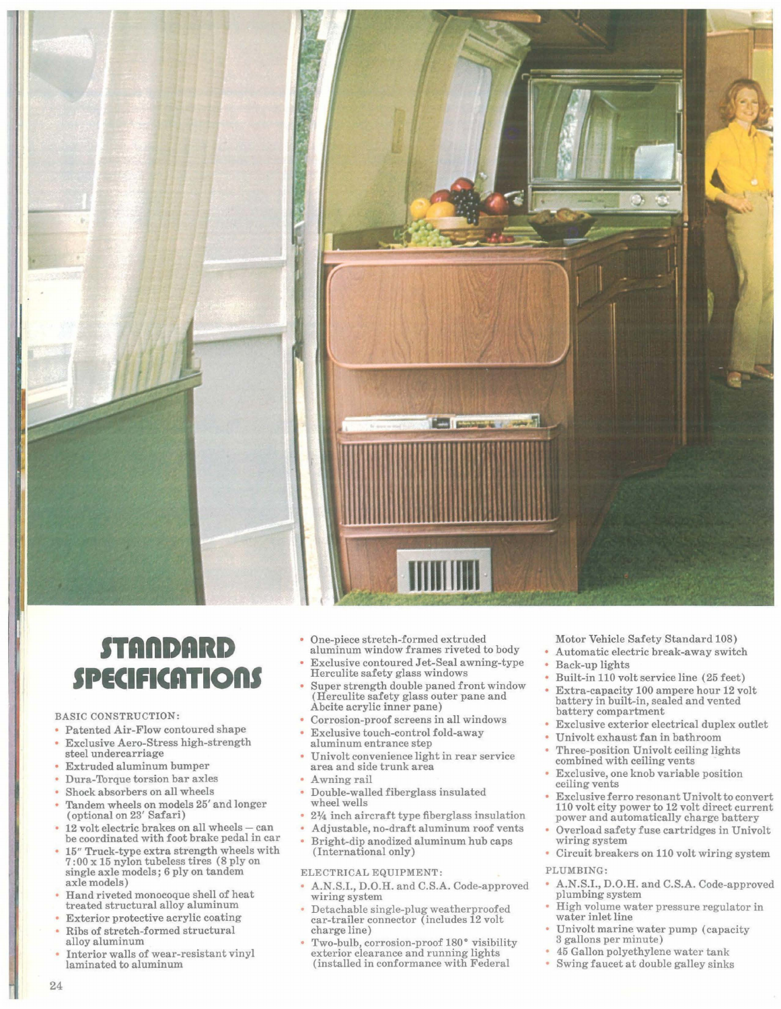

# **STAnDARD SPECIFICATions**

### BASIC CONSTRUCTION:

- Patented Air-Flow contoured shape • Exclusive Aero-Stress high-strength steel undercarriage
- Extruded aluminum bumper
- Dura-Torque torsion bar axles
- Shock absorbers on all wheels
- Tandem wheels on models 25' and longer (optional on 23' Safari)
- be coordinated with foot brake pedal in car
- $15''$  Truck-type extra strength wheels with  $7:00 \times 15$  nylon tubeless tires (8 ply on single axle models; 6 ply on tandem axle models)
- Hand riveted monocoque shell of heat treated structural alloy aluminum
- Exterior protective acrylic coating
- Ribs of stretch-formed structural alloy aluminum
- Interior walls of wear-resistant vinyl laminated to aluminum
- One-piece stretch-formed extruded aluminum window frames riveted to body
- Exclusive contoured Jet-Seal awning-type Herculite safety glass windows
- Super strength double paned front window (Herculite safety glass outer pane and Abcite acrylic inner pane)
- Corrosion-proof screens in all windows
- Exclusive touch-control fold-away aluminum entrance step
- Univolt convenience light in rear service area and side trunk area
- Awning rail
- Double-walled fiberglass insulated wheel wells
- $2\frac{1}{4}$  inch aircraft type fiberglass insulation
- Adjustable, no-draft aluminum roof vents
- Bright-dip anodized aluminum hub caps (International only)

## ELECTRICAL EQUIPMENT:

- A.N.S.I., D.O.H. and C.S.A. Code-approved wiring system
- Detachable single-plug weatherproofed car-trailer connector (includes 12 volt charge line)
- Two-bulb, corrosion-proof 180° visibility exterior clearance and running lights (installed in conformance with Federal

Motor Vehicle Safety Standard 108)

- Automatic electric break-away switch
- Back-up lights
- Built-in 110 volt service line (25 feet)
- Extra-capacity 100 ampere hour 12 volt battery in built-in, sealed and vented battery compartment
- Exclusive exterior electrical duplex outlet
- Univolt exhaust fan in bathroom
- Three-position Univolt ceiling lights
- combined with ceiling vents
- Exclusive, one knob variable position ceiling vents
- Exclusive ferro resonant Univolt to convert 110 volt city power to 12 volt direct current power and automatically charge battery
- Overload safety fuse cartridges in Univolt wiring system
- Circuit breakers on 110 volt wiring system

#### PLUMBING:

- **• A.N.S.I., D.G.H. and C.S.A. Code-approved** plumbing system
- High volume water pressure regulator in water inlet line
- Univolt marine water pump (capacity 3 gallons per minute)
- 45 Gallon polyethylene water tank
- Swing faucet at double galley sinks